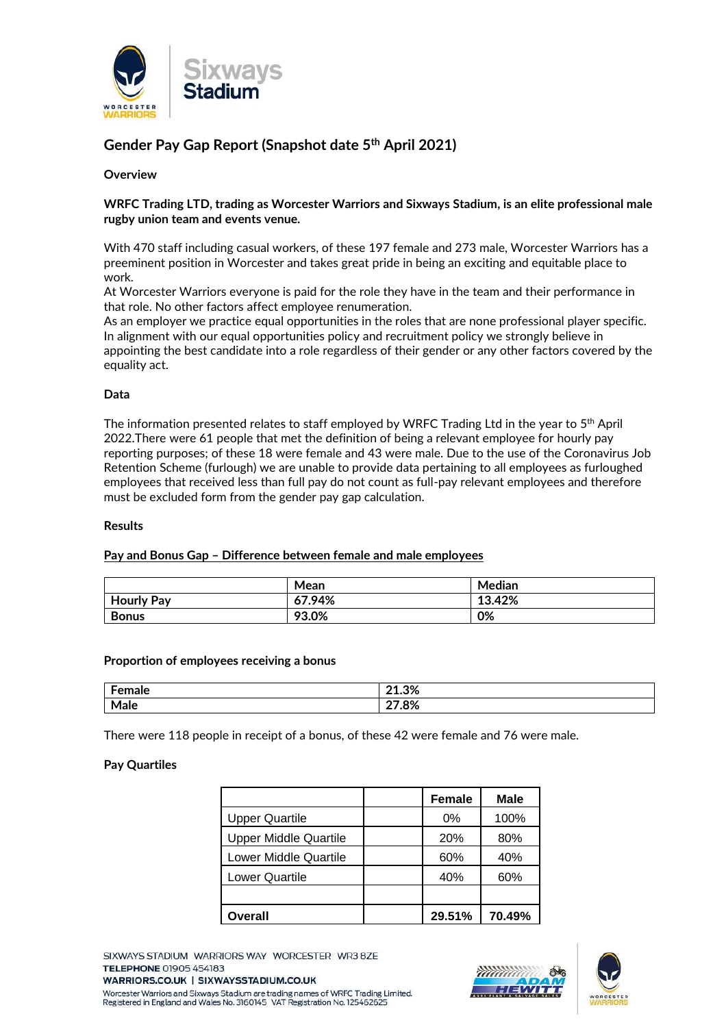

# **Gender Pay Gap Report (Snapshot date 5th April 2021)**

## **Overview**

## **WRFC Trading LTD, trading as Worcester Warriors and Sixways Stadium, is an elite professional male rugby union team and events venue.**

With 470 staff including casual workers, of these 197 female and 273 male, Worcester Warriors has a preeminent position in Worcester and takes great pride in being an exciting and equitable place to work.

At Worcester Warriors everyone is paid for the role they have in the team and their performance in that role. No other factors affect employee renumeration.

As an employer we practice equal opportunities in the roles that are none professional player specific. In alignment with our equal opportunities policy and recruitment policy we strongly believe in appointing the best candidate into a role regardless of their gender or any other factors covered by the equality act.

## **Data**

The information presented relates to staff employed by WRFC Trading Ltd in the year to 5th April 2022.There were 61 people that met the definition of being a relevant employee for hourly pay reporting purposes; of these 18 were female and 43 were male. Due to the use of the Coronavirus Job Retention Scheme (furlough) we are unable to provide data pertaining to all employees as furloughed employees that received less than full pay do not count as full-pay relevant employees and therefore must be excluded form from the gender pay gap calculation.

#### **Results**

## **Pay and Bonus Gap – Difference between female and male employees**

|                   | Mean   | Median |
|-------------------|--------|--------|
| <b>Hourly Pay</b> | 67.94% | 13.42% |
| <b>Bonus</b>      | 93.0%  | 0%     |

#### **Proportion of employees receiving a bonus**

| $   -$<br>alc | 00 <sup>2</sup><br>$\sim$<br>0⁄ د |
|---------------|-----------------------------------|
| $\cdot$       | oo/<br>ە⁄ ס.'<br>--               |

There were 118 people in receipt of a bonus, of these 42 were female and 76 were male.

#### **Pay Quartiles**

|                       | <b>Female</b> | <b>Male</b> |
|-----------------------|---------------|-------------|
| <b>Upper Quartile</b> | 0%            | 100%        |
| Upper Middle Quartile | <b>20%</b>    | 80%         |
| Lower Middle Quartile | 60%           | 40%         |
| <b>Lower Quartile</b> | 40%           | 60%         |
|                       |               |             |
| <b>Overall</b>        | 29.51%        | 70.49%      |

SIXWAYS STADIUM WARRIORS WAY WORCESTER WR3 8ZE **TELEPHONE 01905 454183** WARRIORS.CO.UK | SIXWAYSSTADIUM.CO.UK Worcester Warriors and Sixways Stadium are trading names of WRFC Trading Limited. Registered in England and Wales No. 3160145 VAT Registration No. 125462625